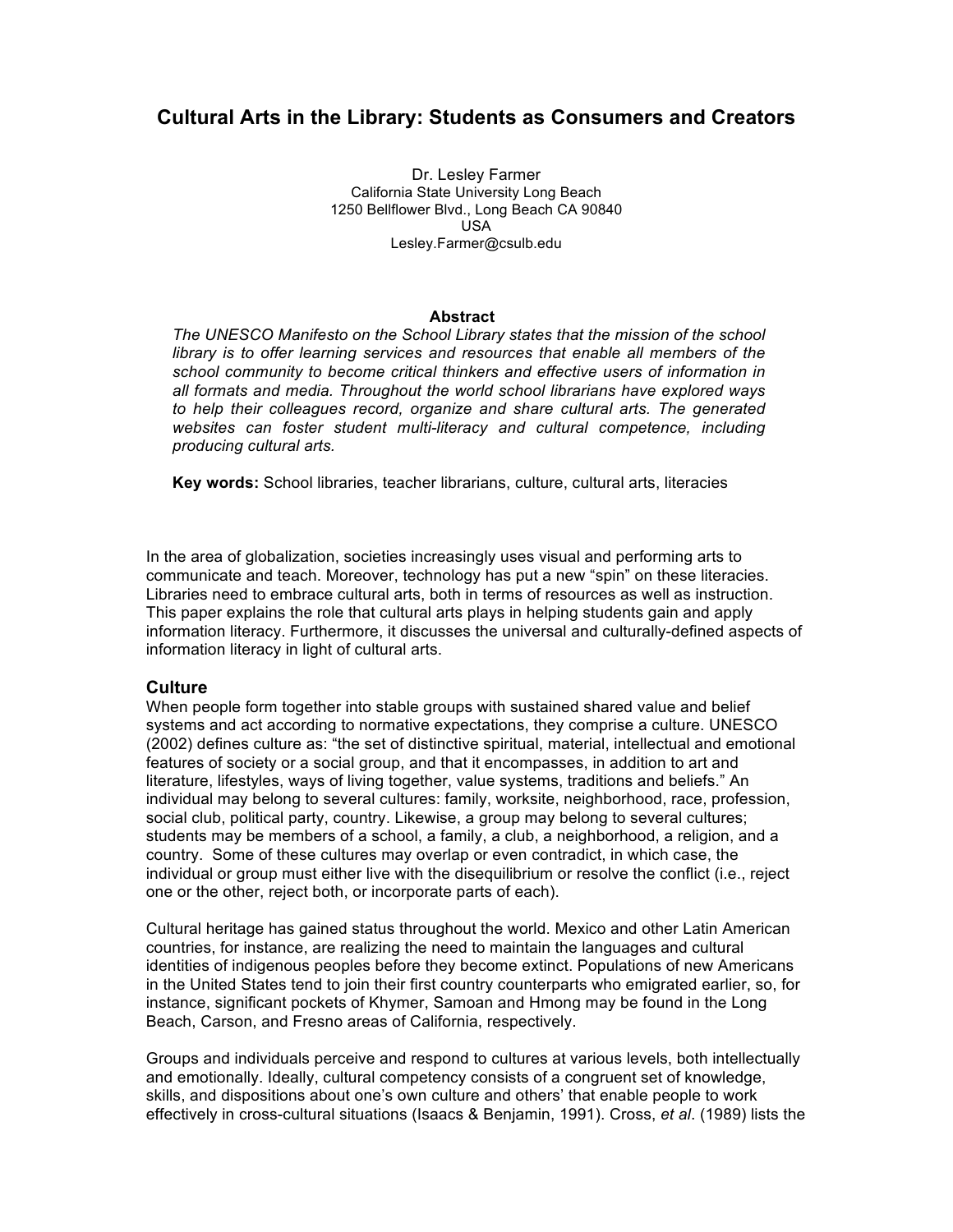# **Cultural Arts in the Library: Students as Consumers and Creators**

Dr. Lesley Farmer California State University Long Beach 1250 Bellflower Blvd., Long Beach CA 90840 USA Lesley.Farmer@csulb.edu

### **Abstract**

*The UNESCO Manifesto on the School Library states that the mission of the school library is to offer learning services and resources that enable all members of the school community to become critical thinkers and effective users of information in all formats and media. Throughout the world school librarians have explored ways to help their colleagues record, organize and share cultural arts. The generated websites can foster student multi-literacy and cultural competence, including producing cultural arts.*

**Key words:** School libraries, teacher librarians, culture, cultural arts, literacies

In the area of globalization, societies increasingly uses visual and performing arts to communicate and teach. Moreover, technology has put a new "spin" on these literacies. Libraries need to embrace cultural arts, both in terms of resources as well as instruction. This paper explains the role that cultural arts plays in helping students gain and apply information literacy. Furthermore, it discusses the universal and culturally-defined aspects of information literacy in light of cultural arts.

### **Culture**

When people form together into stable groups with sustained shared value and belief systems and act according to normative expectations, they comprise a culture. UNESCO (2002) defines culture as: "the set of distinctive spiritual, material, intellectual and emotional features of society or a social group, and that it encompasses, in addition to art and literature, lifestyles, ways of living together, value systems, traditions and beliefs." An individual may belong to several cultures: family, worksite, neighborhood, race, profession, social club, political party, country. Likewise, a group may belong to several cultures; students may be members of a school, a family, a club, a neighborhood, a religion, and a country. Some of these cultures may overlap or even contradict, in which case, the individual or group must either live with the disequilibrium or resolve the conflict (i.e., reject one or the other, reject both, or incorporate parts of each).

Cultural heritage has gained status throughout the world. Mexico and other Latin American countries, for instance, are realizing the need to maintain the languages and cultural identities of indigenous peoples before they become extinct. Populations of new Americans in the United States tend to join their first country counterparts who emigrated earlier, so, for instance, significant pockets of Khymer, Samoan and Hmong may be found in the Long Beach, Carson, and Fresno areas of California, respectively.

Groups and individuals perceive and respond to cultures at various levels, both intellectually and emotionally. Ideally, cultural competency consists of a congruent set of knowledge, skills, and dispositions about one's own culture and others' that enable people to work effectively in cross-cultural situations (Isaacs & Benjamin, 1991). Cross, *et al*. (1989) lists the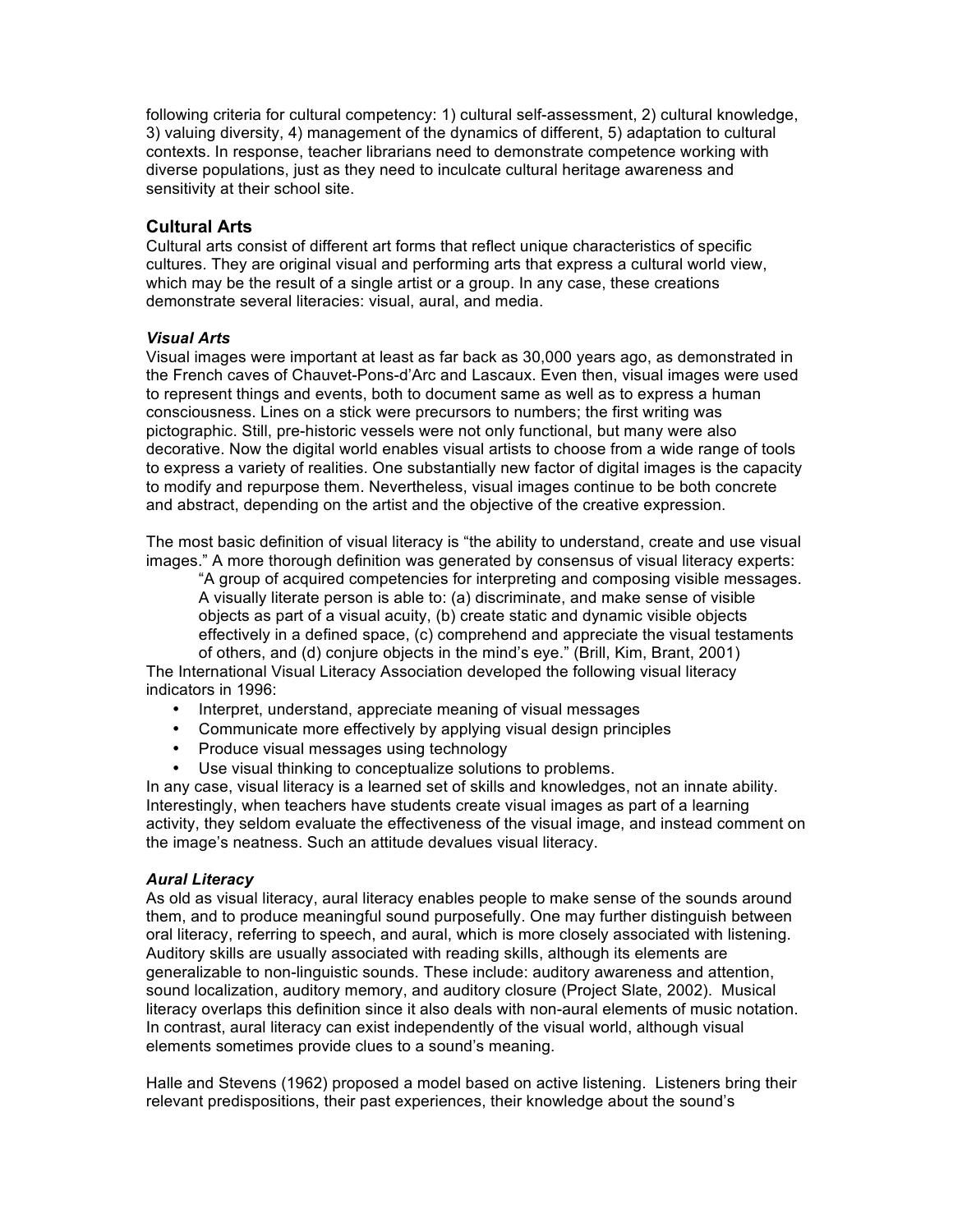following criteria for cultural competency: 1) cultural self-assessment, 2) cultural knowledge, 3) valuing diversity, 4) management of the dynamics of different, 5) adaptation to cultural contexts. In response, teacher librarians need to demonstrate competence working with diverse populations, just as they need to inculcate cultural heritage awareness and sensitivity at their school site.

# **Cultural Arts**

Cultural arts consist of different art forms that reflect unique characteristics of specific cultures. They are original visual and performing arts that express a cultural world view, which may be the result of a single artist or a group. In any case, these creations demonstrate several literacies: visual, aural, and media.

# *Visual Arts*

Visual images were important at least as far back as 30,000 years ago, as demonstrated in the French caves of Chauvet-Pons-d'Arc and Lascaux. Even then, visual images were used to represent things and events, both to document same as well as to express a human consciousness. Lines on a stick were precursors to numbers; the first writing was pictographic. Still, pre-historic vessels were not only functional, but many were also decorative. Now the digital world enables visual artists to choose from a wide range of tools to express a variety of realities. One substantially new factor of digital images is the capacity to modify and repurpose them. Nevertheless, visual images continue to be both concrete and abstract, depending on the artist and the objective of the creative expression.

The most basic definition of visual literacy is "the ability to understand, create and use visual images." A more thorough definition was generated by consensus of visual literacy experts:

"A group of acquired competencies for interpreting and composing visible messages. A visually literate person is able to: (a) discriminate, and make sense of visible objects as part of a visual acuity, (b) create static and dynamic visible objects effectively in a defined space, (c) comprehend and appreciate the visual testaments of others, and (d) conjure objects in the mind's eye." (Brill, Kim, Brant, 2001)

The International Visual Literacy Association developed the following visual literacy indicators in 1996:

- Interpret, understand, appreciate meaning of visual messages
- Communicate more effectively by applying visual design principles
- Produce visual messages using technology
- Use visual thinking to conceptualize solutions to problems.

In any case, visual literacy is a learned set of skills and knowledges, not an innate ability. Interestingly, when teachers have students create visual images as part of a learning activity, they seldom evaluate the effectiveness of the visual image, and instead comment on the image's neatness. Such an attitude devalues visual literacy.

### *Aural Literacy*

As old as visual literacy, aural literacy enables people to make sense of the sounds around them, and to produce meaningful sound purposefully. One may further distinguish between oral literacy, referring to speech, and aural, which is more closely associated with listening. Auditory skills are usually associated with reading skills, although its elements are generalizable to non-linguistic sounds. These include: auditory awareness and attention, sound localization, auditory memory, and auditory closure (Project Slate, 2002). Musical literacy overlaps this definition since it also deals with non-aural elements of music notation. In contrast, aural literacy can exist independently of the visual world, although visual elements sometimes provide clues to a sound's meaning.

Halle and Stevens (1962) proposed a model based on active listening. Listeners bring their relevant predispositions, their past experiences, their knowledge about the sound's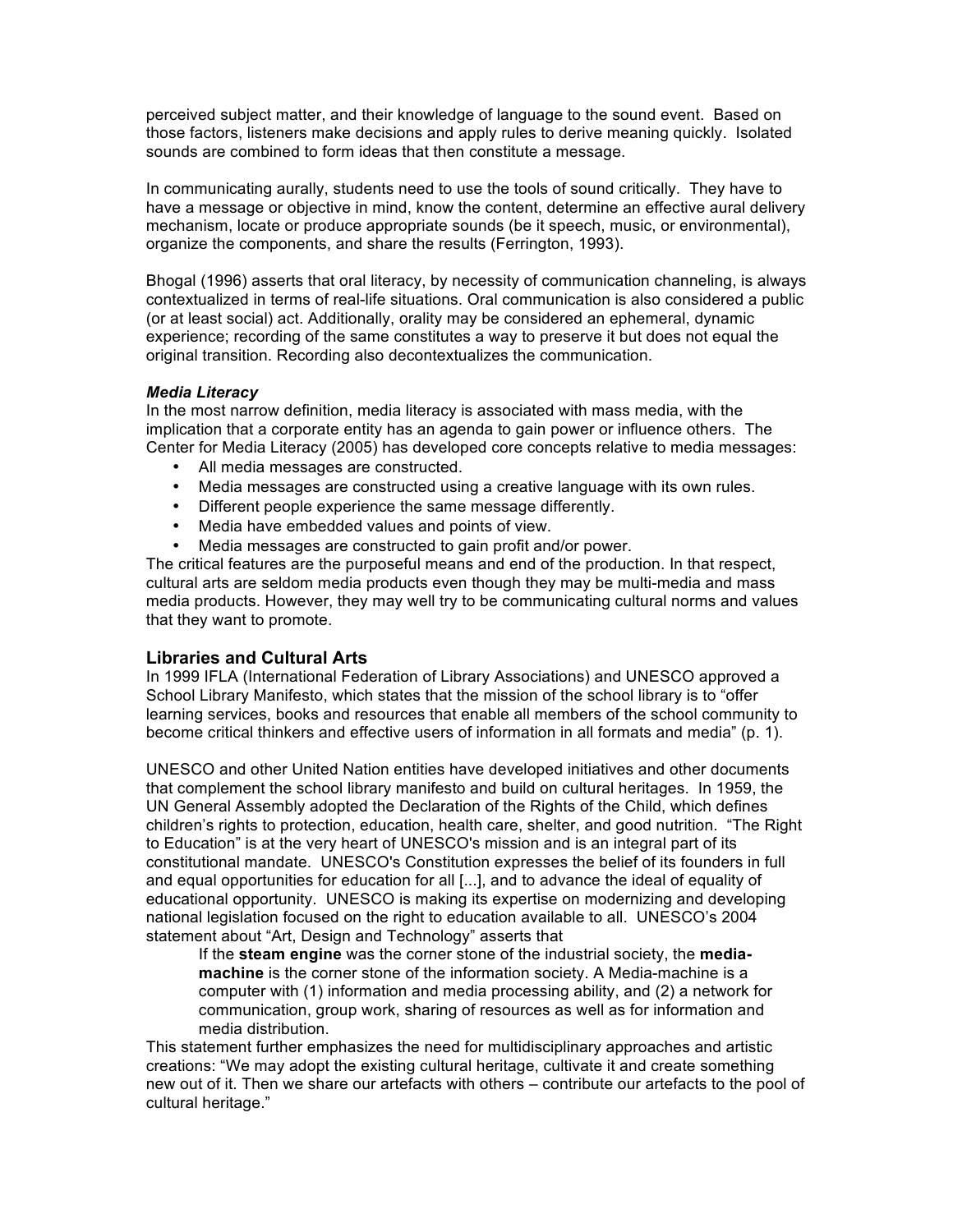perceived subject matter, and their knowledge of language to the sound event. Based on those factors, listeners make decisions and apply rules to derive meaning quickly. Isolated sounds are combined to form ideas that then constitute a message.

In communicating aurally, students need to use the tools of sound critically. They have to have a message or objective in mind, know the content, determine an effective aural delivery mechanism, locate or produce appropriate sounds (be it speech, music, or environmental), organize the components, and share the results (Ferrington, 1993).

Bhogal (1996) asserts that oral literacy, by necessity of communication channeling, is always contextualized in terms of real-life situations. Oral communication is also considered a public (or at least social) act. Additionally, orality may be considered an ephemeral, dynamic experience; recording of the same constitutes a way to preserve it but does not equal the original transition. Recording also decontextualizes the communication.

### *Media Literacy*

In the most narrow definition, media literacy is associated with mass media, with the implication that a corporate entity has an agenda to gain power or influence others. The Center for Media Literacy (2005) has developed core concepts relative to media messages:

- All media messages are constructed.
- Media messages are constructed using a creative language with its own rules.
- Different people experience the same message differently.
- Media have embedded values and points of view.
- Media messages are constructed to gain profit and/or power.

The critical features are the purposeful means and end of the production. In that respect, cultural arts are seldom media products even though they may be multi-media and mass media products. However, they may well try to be communicating cultural norms and values that they want to promote.

# **Libraries and Cultural Arts**

In 1999 IFLA (International Federation of Library Associations) and UNESCO approved a School Library Manifesto, which states that the mission of the school library is to "offer learning services, books and resources that enable all members of the school community to become critical thinkers and effective users of information in all formats and media" (p. 1).

UNESCO and other United Nation entities have developed initiatives and other documents that complement the school library manifesto and build on cultural heritages. In 1959, the UN General Assembly adopted the Declaration of the Rights of the Child, which defines children's rights to protection, education, health care, shelter, and good nutrition. "The Right to Education" is at the very heart of UNESCO's mission and is an integral part of its constitutional mandate. UNESCO's Constitution expresses the belief of its founders in full and equal opportunities for education for all [...], and to advance the ideal of equality of educational opportunity. UNESCO is making its expertise on modernizing and developing national legislation focused on the right to education available to all. UNESCO's 2004 statement about "Art, Design and Technology" asserts that

If the **steam engine** was the corner stone of the industrial society, the **mediamachine** is the corner stone of the information society. A Media-machine is a computer with (1) information and media processing ability, and (2) a network for communication, group work, sharing of resources as well as for information and media distribution.

This statement further emphasizes the need for multidisciplinary approaches and artistic creations: "We may adopt the existing cultural heritage, cultivate it and create something new out of it. Then we share our artefacts with others – contribute our artefacts to the pool of cultural heritage."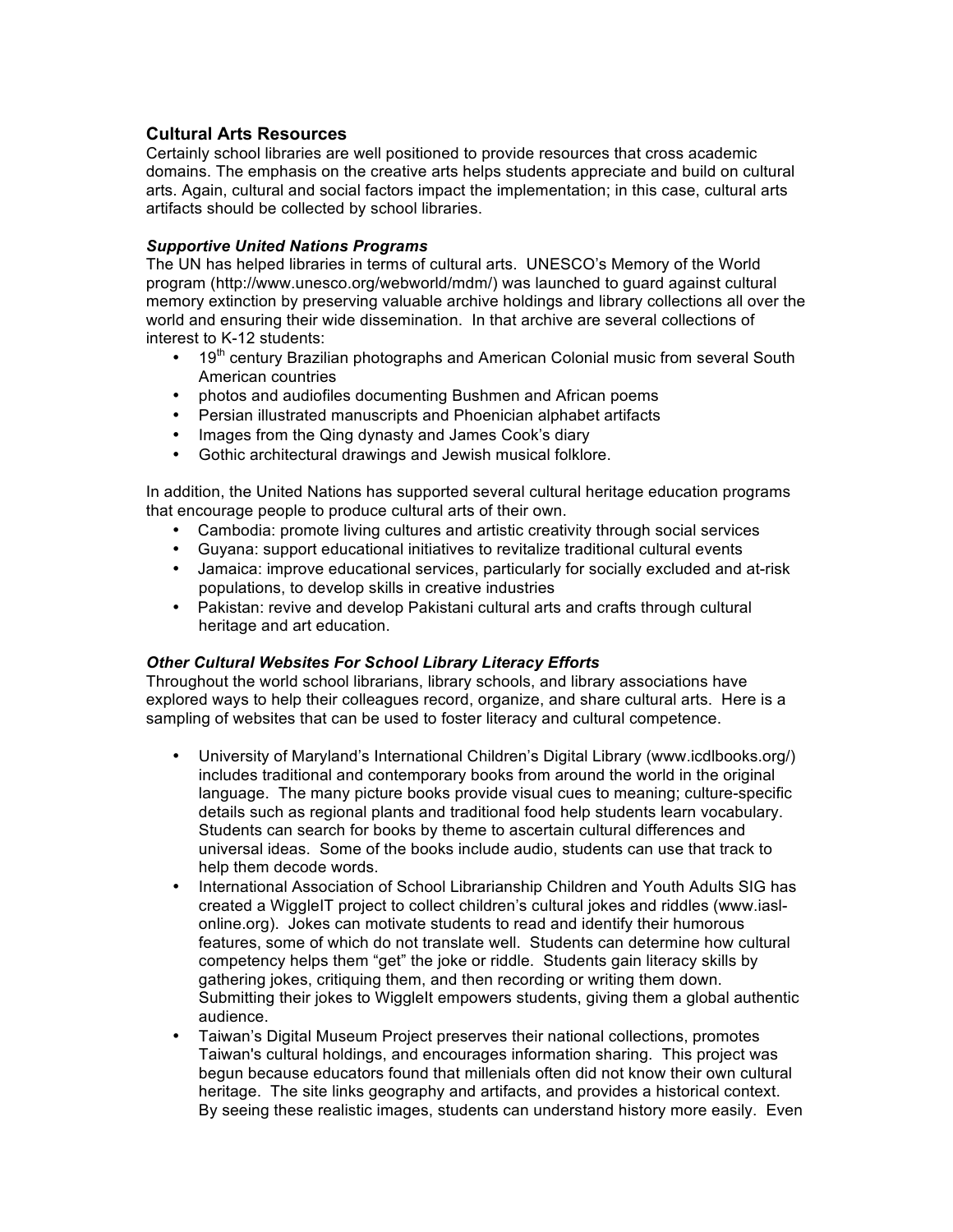# **Cultural Arts Resources**

Certainly school libraries are well positioned to provide resources that cross academic domains. The emphasis on the creative arts helps students appreciate and build on cultural arts. Again, cultural and social factors impact the implementation; in this case, cultural arts artifacts should be collected by school libraries.

### *Supportive United Nations Programs*

The UN has helped libraries in terms of cultural arts. UNESCO's Memory of the World program (http://www.unesco.org/webworld/mdm/) was launched to guard against cultural memory extinction by preserving valuable archive holdings and library collections all over the world and ensuring their wide dissemination. In that archive are several collections of interest to K-12 students:

- 19<sup>th</sup> century Brazilian photographs and American Colonial music from several South American countries
- photos and audiofiles documenting Bushmen and African poems
- Persian illustrated manuscripts and Phoenician alphabet artifacts
- Images from the Qing dynasty and James Cook's diary
- Gothic architectural drawings and Jewish musical folklore.

In addition, the United Nations has supported several cultural heritage education programs that encourage people to produce cultural arts of their own.

- Cambodia: promote living cultures and artistic creativity through social services<br>• Guvana: support educational initiatives to revitalize traditional cultural events
- Guyana: support educational initiatives to revitalize traditional cultural events
- Jamaica: improve educational services, particularly for socially excluded and at-risk populations, to develop skills in creative industries
- Pakistan: revive and develop Pakistani cultural arts and crafts through cultural heritage and art education.

# *Other Cultural Websites For School Library Literacy Efforts*

Throughout the world school librarians, library schools, and library associations have explored ways to help their colleagues record, organize, and share cultural arts. Here is a sampling of websites that can be used to foster literacy and cultural competence.

- University of Maryland's International Children's Digital Library (www.icdlbooks.org/) includes traditional and contemporary books from around the world in the original language. The many picture books provide visual cues to meaning; culture-specific details such as regional plants and traditional food help students learn vocabulary. Students can search for books by theme to ascertain cultural differences and universal ideas. Some of the books include audio, students can use that track to help them decode words.
- International Association of School Librarianship Children and Youth Adults SIG has created a WiggleIT project to collect children's cultural jokes and riddles (www.iaslonline.org). Jokes can motivate students to read and identify their humorous features, some of which do not translate well. Students can determine how cultural competency helps them "get" the joke or riddle. Students gain literacy skills by gathering jokes, critiquing them, and then recording or writing them down. Submitting their jokes to WiggleIt empowers students, giving them a global authentic audience.
- Taiwan's Digital Museum Project preserves their national collections, promotes Taiwan's cultural holdings, and encourages information sharing. This project was begun because educators found that millenials often did not know their own cultural heritage. The site links geography and artifacts, and provides a historical context. By seeing these realistic images, students can understand history more easily. Even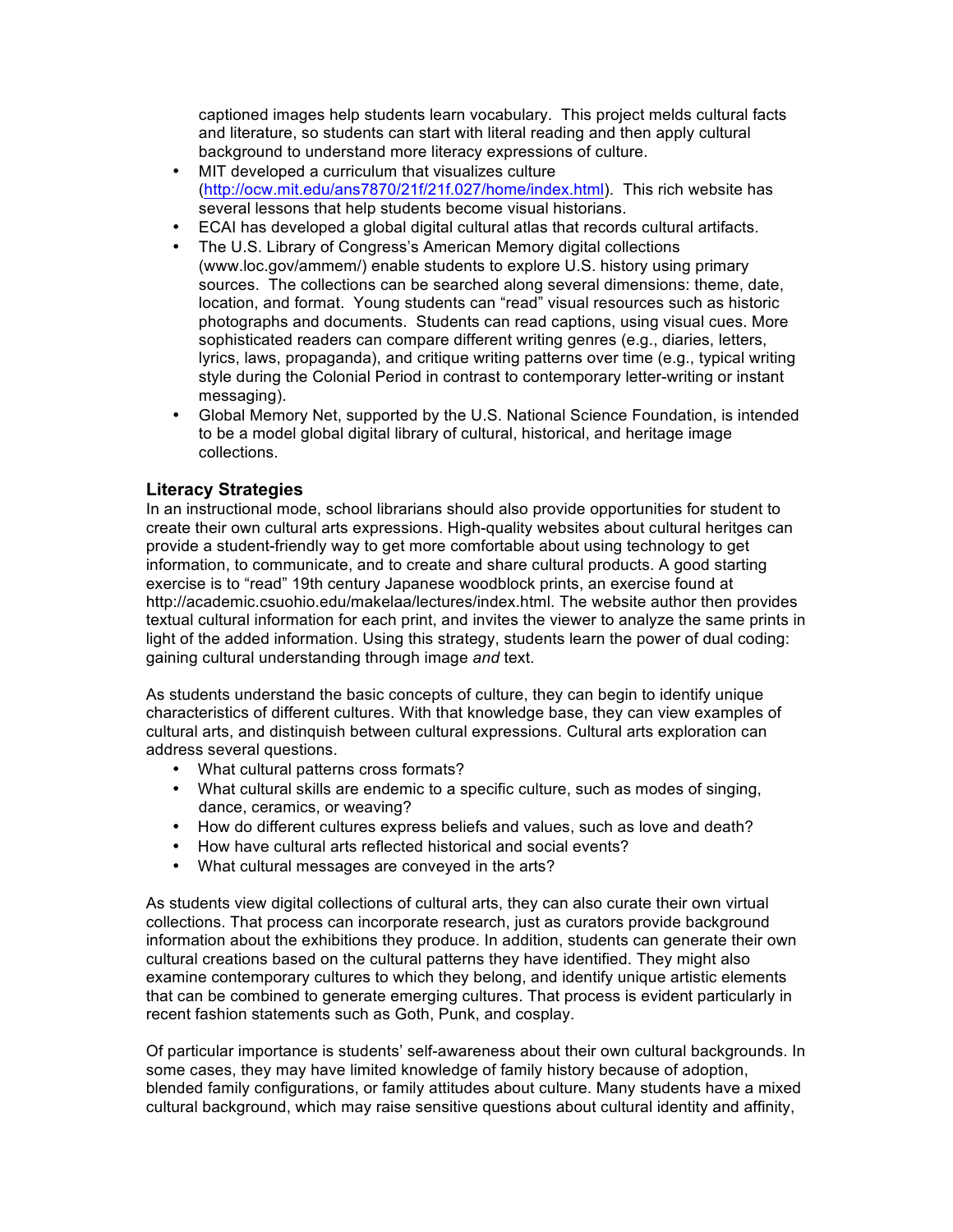captioned images help students learn vocabulary. This project melds cultural facts and literature, so students can start with literal reading and then apply cultural background to understand more literacy expressions of culture.

- MIT developed a curriculum that visualizes culture (http://ocw.mit.edu/ans7870/21f/21f.027/home/index.html). This rich website has several lessons that help students become visual historians.
- ECAI has developed a global digital cultural atlas that records cultural artifacts.
- The U.S. Library of Congress's American Memory digital collections (www.loc.gov/ammem/) enable students to explore U.S. history using primary sources. The collections can be searched along several dimensions: theme, date, location, and format. Young students can "read" visual resources such as historic photographs and documents. Students can read captions, using visual cues. More sophisticated readers can compare different writing genres (e.g., diaries, letters, lyrics, laws, propaganda), and critique writing patterns over time (e.g., typical writing style during the Colonial Period in contrast to contemporary letter-writing or instant messaging).
- Global Memory Net, supported by the U.S. National Science Foundation, is intended to be a model global digital library of cultural, historical, and heritage image collections.

# **Literacy Strategies**

In an instructional mode, school librarians should also provide opportunities for student to create their own cultural arts expressions. High-quality websites about cultural heritges can provide a student-friendly way to get more comfortable about using technology to get information, to communicate, and to create and share cultural products. A good starting exercise is to "read" 19th century Japanese woodblock prints, an exercise found at http://academic.csuohio.edu/makelaa/lectures/index.html. The website author then provides textual cultural information for each print, and invites the viewer to analyze the same prints in light of the added information. Using this strategy, students learn the power of dual coding: gaining cultural understanding through image *and* text.

As students understand the basic concepts of culture, they can begin to identify unique characteristics of different cultures. With that knowledge base, they can view examples of cultural arts, and distinquish between cultural expressions. Cultural arts exploration can address several questions.

- What cultural patterns cross formats?
- What cultural skills are endemic to a specific culture, such as modes of singing, dance, ceramics, or weaving?
- How do different cultures express beliefs and values, such as love and death?
- How have cultural arts reflected historical and social events?
- What cultural messages are conveyed in the arts?

As students view digital collections of cultural arts, they can also curate their own virtual collections. That process can incorporate research, just as curators provide background information about the exhibitions they produce. In addition, students can generate their own cultural creations based on the cultural patterns they have identified. They might also examine contemporary cultures to which they belong, and identify unique artistic elements that can be combined to generate emerging cultures. That process is evident particularly in recent fashion statements such as Goth, Punk, and cosplay.

Of particular importance is students' self-awareness about their own cultural backgrounds. In some cases, they may have limited knowledge of family history because of adoption, blended family configurations, or family attitudes about culture. Many students have a mixed cultural background, which may raise sensitive questions about cultural identity and affinity,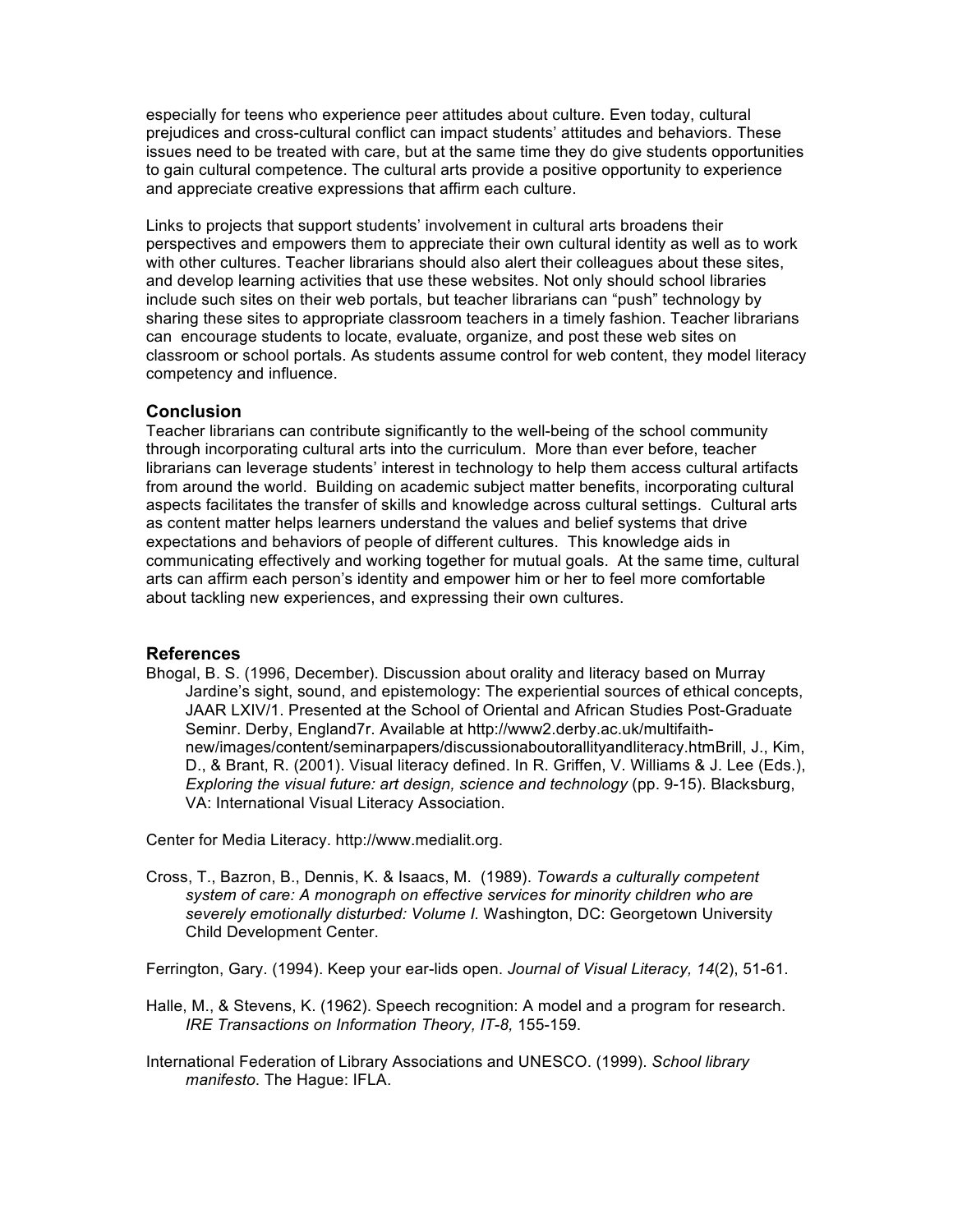especially for teens who experience peer attitudes about culture. Even today, cultural prejudices and cross-cultural conflict can impact students' attitudes and behaviors. These issues need to be treated with care, but at the same time they do give students opportunities to gain cultural competence. The cultural arts provide a positive opportunity to experience and appreciate creative expressions that affirm each culture.

Links to projects that support students' involvement in cultural arts broadens their perspectives and empowers them to appreciate their own cultural identity as well as to work with other cultures. Teacher librarians should also alert their colleagues about these sites, and develop learning activities that use these websites. Not only should school libraries include such sites on their web portals, but teacher librarians can "push" technology by sharing these sites to appropriate classroom teachers in a timely fashion. Teacher librarians can encourage students to locate, evaluate, organize, and post these web sites on classroom or school portals. As students assume control for web content, they model literacy competency and influence.

### **Conclusion**

Teacher librarians can contribute significantly to the well-being of the school community through incorporating cultural arts into the curriculum. More than ever before, teacher librarians can leverage students' interest in technology to help them access cultural artifacts from around the world. Building on academic subject matter benefits, incorporating cultural aspects facilitates the transfer of skills and knowledge across cultural settings. Cultural arts as content matter helps learners understand the values and belief systems that drive expectations and behaviors of people of different cultures. This knowledge aids in communicating effectively and working together for mutual goals. At the same time, cultural arts can affirm each person's identity and empower him or her to feel more comfortable about tackling new experiences, and expressing their own cultures.

### **References**

Bhogal, B. S. (1996, December). Discussion about orality and literacy based on Murray Jardine's sight, sound, and epistemology: The experiential sources of ethical concepts, JAAR LXIV/1. Presented at the School of Oriental and African Studies Post-Graduate Seminr. Derby, England7r. Available at http://www2.derby.ac.uk/multifaithnew/images/content/seminarpapers/discussionaboutorallityandliteracy.htmBrill, J., Kim, D., & Brant, R. (2001). Visual literacy defined. In R. Griffen, V. Williams & J. Lee (Eds.), *Exploring the visual future: art design, science and technology* (pp. 9-15). Blacksburg, VA: International Visual Literacy Association.

Center for Media Literacy. http://www.medialit.org.

Cross, T., Bazron, B., Dennis, K. & Isaacs, M. (1989). *Towards a culturally competent system of care: A monograph on effective services for minority children who are severely emotionally disturbed: Volume I.* Washington, DC: Georgetown University Child Development Center.

Ferrington, Gary. (1994). Keep your ear-lids open. *Journal of Visual Literacy, 14*(2), 51-61.

- Halle, M., & Stevens, K. (1962). Speech recognition: A model and a program for research. *IRE Transactions on Information Theory, IT-8,* 155-159.
- International Federation of Library Associations and UNESCO. (1999). *School library manifesto*. The Hague: IFLA.